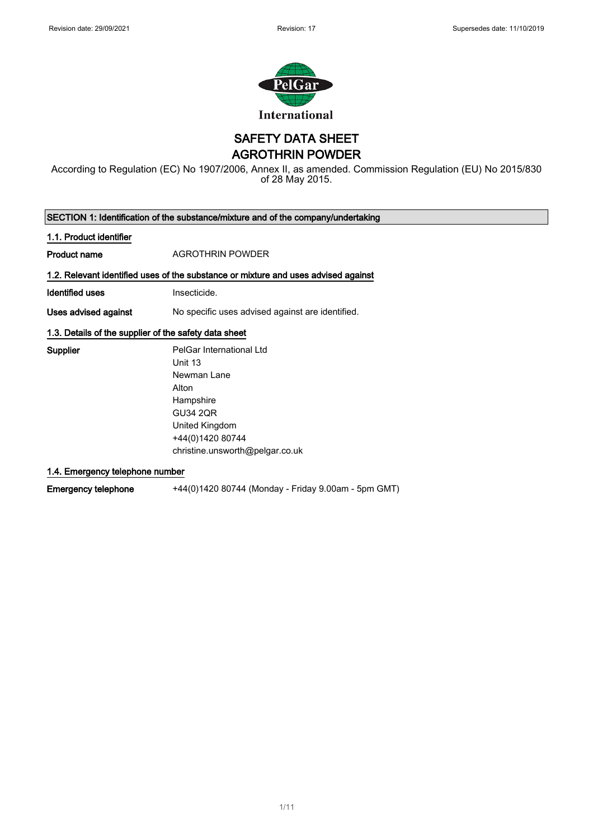1



SAFETY DATA SHEET

AGROTHRIN POWDER

According to Regulation (EC) No 1907/2006, Annex II, as amended. Commission Regulation (EU) No 2015/830 of 28 May 2015.

| SECTION 1: Identification of the substance/mixture and of the company/undertaking |                                                                                    |  |
|-----------------------------------------------------------------------------------|------------------------------------------------------------------------------------|--|
| 1.1. Product identifier                                                           |                                                                                    |  |
| Product name                                                                      | <b>AGROTHRIN POWDER</b>                                                            |  |
|                                                                                   | 1.2. Relevant identified uses of the substance or mixture and uses advised against |  |
| Identified uses                                                                   | Insecticide.                                                                       |  |
| Uses advised against                                                              | No specific uses advised against are identified.                                   |  |
| 1.3. Details of the supplier of the safety data sheet                             |                                                                                    |  |
| <b>Supplier</b>                                                                   | PelGar International Ltd                                                           |  |
|                                                                                   | Unit 13                                                                            |  |
|                                                                                   | Newman Lane                                                                        |  |
|                                                                                   | Alton                                                                              |  |
|                                                                                   | Hampshire                                                                          |  |

GU34 2QR United Kingdom +44(0)1420 80744 christine.unsworth@pelgar.co.uk

1.4. Emergency telephone number

Emergency telephone +44(0)1420 80744 (Monday - Friday 9.00am - 5pm GMT)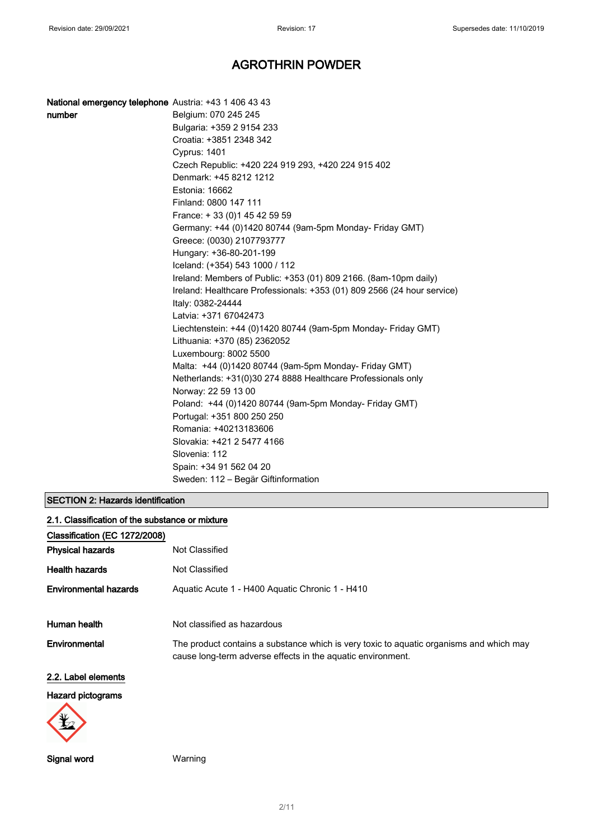| National emergency telephone Austria: +43 1 406 43 43 |                                                                         |
|-------------------------------------------------------|-------------------------------------------------------------------------|
| number                                                | Belgium: 070 245 245                                                    |
|                                                       | Bulgaria: +359 2 9154 233                                               |
|                                                       | Croatia: +3851 2348 342                                                 |
|                                                       | <b>Cyprus: 1401</b>                                                     |
|                                                       | Czech Republic: +420 224 919 293, +420 224 915 402                      |
|                                                       | Denmark: +45 8212 1212                                                  |
|                                                       | Estonia: 16662                                                          |
|                                                       | Finland: 0800 147 111                                                   |
|                                                       | France: +33 (0) 145 42 59 59                                            |
|                                                       | Germany: +44 (0)1420 80744 (9am-5pm Monday- Friday GMT)                 |
|                                                       | Greece: (0030) 2107793777                                               |
|                                                       | Hungary: +36-80-201-199                                                 |
|                                                       | Iceland: (+354) 543 1000 / 112                                          |
|                                                       | Ireland: Members of Public: +353 (01) 809 2166. (8am-10pm daily)        |
|                                                       | Ireland: Healthcare Professionals: +353 (01) 809 2566 (24 hour service) |
|                                                       | Italy: 0382-24444                                                       |
|                                                       | Latvia: +371 67042473                                                   |
|                                                       | Liechtenstein: +44 (0)1420 80744 (9am-5pm Monday- Friday GMT)           |
|                                                       | Lithuania: +370 (85) 2362052                                            |
|                                                       | Luxembourg: 8002 5500                                                   |
|                                                       | Malta: +44 (0)1420 80744 (9am-5pm Monday- Friday GMT)                   |
|                                                       | Netherlands: +31(0)30 274 8888 Healthcare Professionals only            |
|                                                       | Norway: 22 59 13 00                                                     |
|                                                       | Poland: +44 (0)1420 80744 (9am-5pm Monday- Friday GMT)                  |
|                                                       | Portugal: +351 800 250 250                                              |
|                                                       | Romania: +40213183606                                                   |
|                                                       | Slovakia: +421 2 5477 4166                                              |
|                                                       | Slovenia: 112                                                           |
|                                                       | Spain: +34 91 562 04 20                                                 |
|                                                       | Sweden: 112 - Begär Giftinformation                                     |

### SECTION 2: Hazards identification

| 2.1. Classification of the substance or mixture |                                                                                                                                                        |
|-------------------------------------------------|--------------------------------------------------------------------------------------------------------------------------------------------------------|
| Classification (EC 1272/2008)                   |                                                                                                                                                        |
| <b>Physical hazards</b>                         | Not Classified                                                                                                                                         |
| <b>Health hazards</b>                           | Not Classified                                                                                                                                         |
| <b>Environmental hazards</b>                    | Aquatic Acute 1 - H400 Aquatic Chronic 1 - H410                                                                                                        |
| Human health                                    | Not classified as hazardous                                                                                                                            |
| Environmental                                   | The product contains a substance which is very toxic to aquatic organisms and which may<br>cause long-term adverse effects in the aquatic environment. |
| 2.2. Label elements                             |                                                                                                                                                        |
| Hazard pictograms                               |                                                                                                                                                        |



Signal word Warning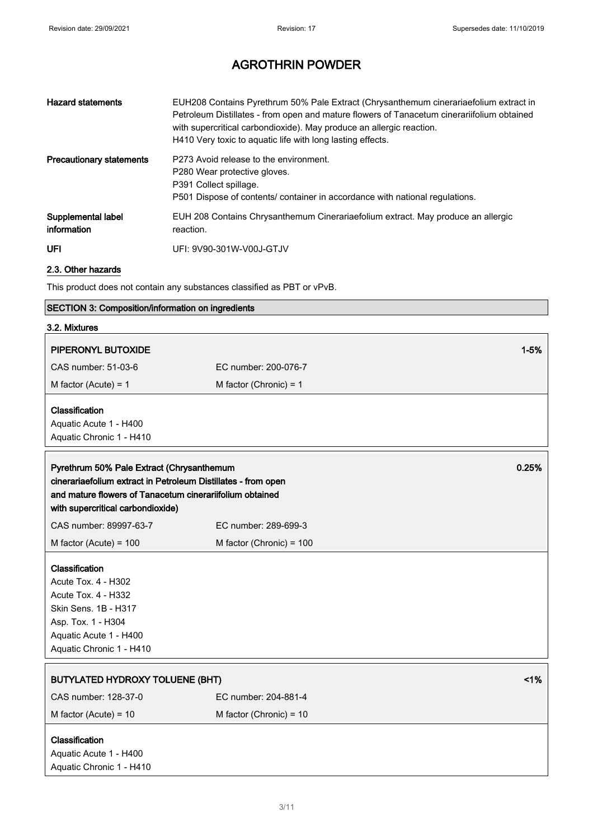| <b>Hazard statements</b>          | EUH208 Contains Pyrethrum 50% Pale Extract (Chrysanthemum cinerariaefolium extract in<br>Petroleum Distillates - from open and mature flowers of Tanacetum cinerariifolium obtained<br>with supercritical carbondioxide). May produce an allergic reaction.<br>H410 Very toxic to aquatic life with long lasting effects. |
|-----------------------------------|---------------------------------------------------------------------------------------------------------------------------------------------------------------------------------------------------------------------------------------------------------------------------------------------------------------------------|
| <b>Precautionary statements</b>   | P273 Avoid release to the environment.<br>P280 Wear protective gloves.<br>P391 Collect spillage.<br>P501 Dispose of contents/ container in accordance with national regulations.                                                                                                                                          |
| Supplemental label<br>information | EUH 208 Contains Chrysanthemum Cinerariaefolium extract. May produce an allergic<br>reaction.                                                                                                                                                                                                                             |
| UFI                               | UFI: 9V90-301W-V00J-GTJV                                                                                                                                                                                                                                                                                                  |

### 2.3. Other hazards

This product does not contain any substances classified as PBT or vPvB.

|  | SECTION 3: Composition/information on ingredients |  |
|--|---------------------------------------------------|--|
|--|---------------------------------------------------|--|

### 3.2. Mixtures

| PIPERONYL BUTOXIDE                                            |                           | $1 - 5%$ |
|---------------------------------------------------------------|---------------------------|----------|
| CAS number: 51-03-6                                           | EC number: 200-076-7      |          |
| M factor (Acute) = $1$                                        | M factor (Chronic) = $1$  |          |
| Classification                                                |                           |          |
| Aquatic Acute 1 - H400                                        |                           |          |
| Aquatic Chronic 1 - H410                                      |                           |          |
| Pyrethrum 50% Pale Extract (Chrysanthemum                     |                           | 0.25%    |
| cinerariaefolium extract in Petroleum Distillates - from open |                           |          |
| and mature flowers of Tanacetum cinerariifolium obtained      |                           |          |
| with supercritical carbondioxide)                             |                           |          |
| CAS number: 89997-63-7                                        | EC number: 289-699-3      |          |
| M factor (Acute) = $100$                                      | M factor (Chronic) = 100  |          |
| Classification                                                |                           |          |
| Acute Tox. 4 - H302                                           |                           |          |
| <b>Acute Tox. 4 - H332</b>                                    |                           |          |
| Skin Sens. 1B - H317                                          |                           |          |
| Asp. Tox. 1 - H304                                            |                           |          |
| Aquatic Acute 1 - H400                                        |                           |          |
| Aquatic Chronic 1 - H410                                      |                           |          |
| <b>BUTYLATED HYDROXY TOLUENE (BHT)</b>                        |                           | 1%       |
| CAS number: 128-37-0                                          | EC number: 204-881-4      |          |
| M factor (Acute) = $10$                                       | M factor (Chronic) = $10$ |          |
|                                                               |                           |          |
| Classification                                                |                           |          |
| Aquatic Acute 1 - H400                                        |                           |          |
| Aquatic Chronic 1 - H410                                      |                           |          |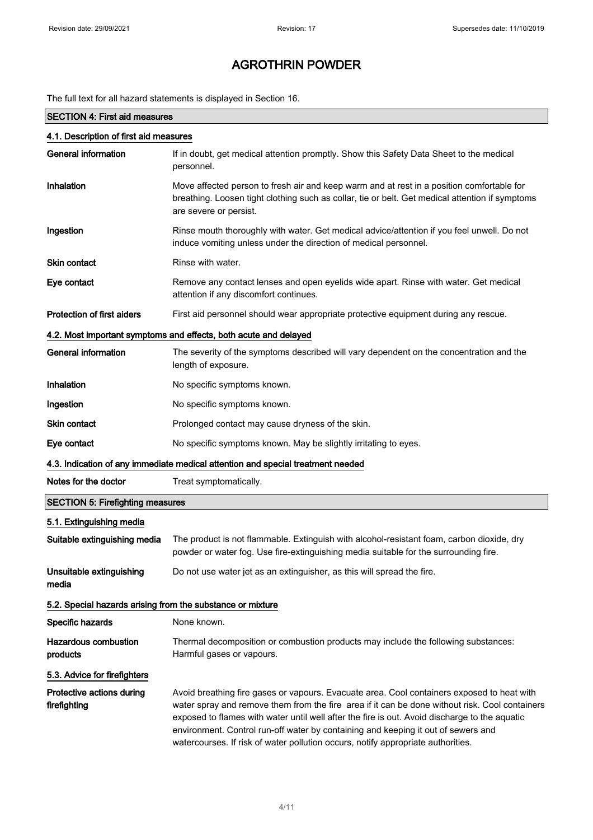The full text for all hazard statements is displayed in Section 16.

### SECTION 4: First aid measures

| 4.1. Description of first aid measures                           |                                                                                                                                                                                                                                                                                                                                                                                                                                                                        |  |
|------------------------------------------------------------------|------------------------------------------------------------------------------------------------------------------------------------------------------------------------------------------------------------------------------------------------------------------------------------------------------------------------------------------------------------------------------------------------------------------------------------------------------------------------|--|
| <b>General information</b>                                       | If in doubt, get medical attention promptly. Show this Safety Data Sheet to the medical<br>personnel.                                                                                                                                                                                                                                                                                                                                                                  |  |
| Inhalation                                                       | Move affected person to fresh air and keep warm and at rest in a position comfortable for<br>breathing. Loosen tight clothing such as collar, tie or belt. Get medical attention if symptoms<br>are severe or persist.                                                                                                                                                                                                                                                 |  |
| Ingestion                                                        | Rinse mouth thoroughly with water. Get medical advice/attention if you feel unwell. Do not<br>induce vomiting unless under the direction of medical personnel.                                                                                                                                                                                                                                                                                                         |  |
| <b>Skin contact</b>                                              | Rinse with water.                                                                                                                                                                                                                                                                                                                                                                                                                                                      |  |
| Eye contact                                                      | Remove any contact lenses and open eyelids wide apart. Rinse with water. Get medical<br>attention if any discomfort continues.                                                                                                                                                                                                                                                                                                                                         |  |
| <b>Protection of first aiders</b>                                | First aid personnel should wear appropriate protective equipment during any rescue.                                                                                                                                                                                                                                                                                                                                                                                    |  |
| 4.2. Most important symptoms and effects, both acute and delayed |                                                                                                                                                                                                                                                                                                                                                                                                                                                                        |  |
| <b>General information</b>                                       | The severity of the symptoms described will vary dependent on the concentration and the<br>length of exposure.                                                                                                                                                                                                                                                                                                                                                         |  |
| Inhalation                                                       | No specific symptoms known.                                                                                                                                                                                                                                                                                                                                                                                                                                            |  |
| Ingestion                                                        | No specific symptoms known.                                                                                                                                                                                                                                                                                                                                                                                                                                            |  |
| Skin contact                                                     | Prolonged contact may cause dryness of the skin.                                                                                                                                                                                                                                                                                                                                                                                                                       |  |
| Eye contact                                                      | No specific symptoms known. May be slightly irritating to eyes.                                                                                                                                                                                                                                                                                                                                                                                                        |  |
|                                                                  | 4.3. Indication of any immediate medical attention and special treatment needed                                                                                                                                                                                                                                                                                                                                                                                        |  |
| Notes for the doctor                                             | Treat symptomatically.                                                                                                                                                                                                                                                                                                                                                                                                                                                 |  |
| <b>SECTION 5: Firefighting measures</b>                          |                                                                                                                                                                                                                                                                                                                                                                                                                                                                        |  |
| 5.1. Extinguishing media                                         |                                                                                                                                                                                                                                                                                                                                                                                                                                                                        |  |
| Suitable extinguishing media                                     | The product is not flammable. Extinguish with alcohol-resistant foam, carbon dioxide, dry<br>powder or water fog. Use fire-extinguishing media suitable for the surrounding fire.                                                                                                                                                                                                                                                                                      |  |
| Unsuitable extinguishing<br>media                                | Do not use water jet as an extinguisher, as this will spread the fire.                                                                                                                                                                                                                                                                                                                                                                                                 |  |
| 5.2. Special hazards arising from the substance or mixture       |                                                                                                                                                                                                                                                                                                                                                                                                                                                                        |  |
| Specific hazards                                                 | None known.                                                                                                                                                                                                                                                                                                                                                                                                                                                            |  |
| <b>Hazardous combustion</b><br>products                          | Thermal decomposition or combustion products may include the following substances:<br>Harmful gases or vapours.                                                                                                                                                                                                                                                                                                                                                        |  |
| 5.3. Advice for firefighters                                     |                                                                                                                                                                                                                                                                                                                                                                                                                                                                        |  |
| Protective actions during<br>firefighting                        | Avoid breathing fire gases or vapours. Evacuate area. Cool containers exposed to heat with<br>water spray and remove them from the fire area if it can be done without risk. Cool containers<br>exposed to flames with water until well after the fire is out. Avoid discharge to the aquatic<br>environment. Control run-off water by containing and keeping it out of sewers and<br>watercourses. If risk of water pollution occurs, notify appropriate authorities. |  |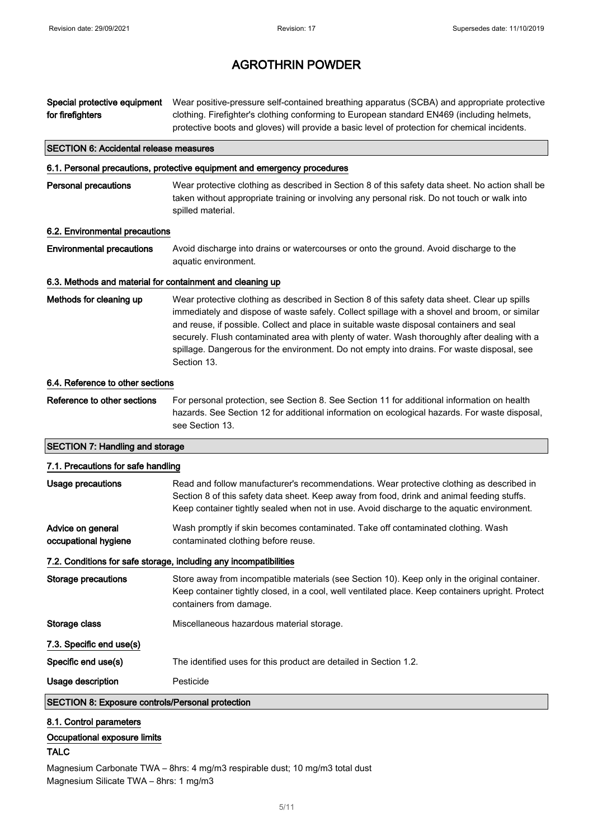| Special protective equipment<br>for firefighters          | Wear positive-pressure self-contained breathing apparatus (SCBA) and appropriate protective<br>clothing. Firefighter's clothing conforming to European standard EN469 (including helmets,<br>protective boots and gloves) will provide a basic level of protection for chemical incidents.                                                                                                                                                                                                              |
|-----------------------------------------------------------|---------------------------------------------------------------------------------------------------------------------------------------------------------------------------------------------------------------------------------------------------------------------------------------------------------------------------------------------------------------------------------------------------------------------------------------------------------------------------------------------------------|
| <b>SECTION 6: Accidental release measures</b>             |                                                                                                                                                                                                                                                                                                                                                                                                                                                                                                         |
|                                                           | 6.1. Personal precautions, protective equipment and emergency procedures                                                                                                                                                                                                                                                                                                                                                                                                                                |
| <b>Personal precautions</b>                               | Wear protective clothing as described in Section 8 of this safety data sheet. No action shall be<br>taken without appropriate training or involving any personal risk. Do not touch or walk into<br>spilled material.                                                                                                                                                                                                                                                                                   |
| 6.2. Environmental precautions                            |                                                                                                                                                                                                                                                                                                                                                                                                                                                                                                         |
| <b>Environmental precautions</b>                          | Avoid discharge into drains or watercourses or onto the ground. Avoid discharge to the<br>aquatic environment.                                                                                                                                                                                                                                                                                                                                                                                          |
| 6.3. Methods and material for containment and cleaning up |                                                                                                                                                                                                                                                                                                                                                                                                                                                                                                         |
| Methods for cleaning up                                   | Wear protective clothing as described in Section 8 of this safety data sheet. Clear up spills<br>immediately and dispose of waste safely. Collect spillage with a shovel and broom, or similar<br>and reuse, if possible. Collect and place in suitable waste disposal containers and seal<br>securely. Flush contaminated area with plenty of water. Wash thoroughly after dealing with a<br>spillage. Dangerous for the environment. Do not empty into drains. For waste disposal, see<br>Section 13. |
| 6.4. Reference to other sections                          |                                                                                                                                                                                                                                                                                                                                                                                                                                                                                                         |
| Reference to other sections                               | For personal protection, see Section 8. See Section 11 for additional information on health<br>hazards. See Section 12 for additional information on ecological hazards. For waste disposal,<br>see Section 13.                                                                                                                                                                                                                                                                                         |
| <b>SECTION 7: Handling and storage</b>                    |                                                                                                                                                                                                                                                                                                                                                                                                                                                                                                         |
| 7.1. Precautions for safe handling                        |                                                                                                                                                                                                                                                                                                                                                                                                                                                                                                         |
| <b>Usage precautions</b>                                  | Read and follow manufacturer's recommendations. Wear protective clothing as described in<br>Section 8 of this safety data sheet. Keep away from food, drink and animal feeding stuffs.<br>Keep container tightly sealed when not in use. Avoid discharge to the aquatic environment.                                                                                                                                                                                                                    |
| Advice on general<br>occupational hygiene                 | Wash promptly if skin becomes contaminated. Take off contaminated clothing. Wash<br>contaminated clothing before reuse.                                                                                                                                                                                                                                                                                                                                                                                 |
|                                                           | 7.2. Conditions for safe storage, including any incompatibilities                                                                                                                                                                                                                                                                                                                                                                                                                                       |
| <b>Storage precautions</b>                                | Store away from incompatible materials (see Section 10). Keep only in the original container.<br>Keep container tightly closed, in a cool, well ventilated place. Keep containers upright. Protect<br>containers from damage.                                                                                                                                                                                                                                                                           |
| Storage class                                             | Miscellaneous hazardous material storage.                                                                                                                                                                                                                                                                                                                                                                                                                                                               |
| 7.3. Specific end use(s)                                  |                                                                                                                                                                                                                                                                                                                                                                                                                                                                                                         |
| Specific end use(s)                                       | The identified uses for this product are detailed in Section 1.2.                                                                                                                                                                                                                                                                                                                                                                                                                                       |
| Usage description                                         | Pesticide                                                                                                                                                                                                                                                                                                                                                                                                                                                                                               |
| <b>SECTION 8: Exposure controls/Personal protection</b>   |                                                                                                                                                                                                                                                                                                                                                                                                                                                                                                         |
| 8.1. Control parameters<br>Occupational exposure limits   |                                                                                                                                                                                                                                                                                                                                                                                                                                                                                                         |

### TALC

Magnesium Carbonate TWA – 8hrs: 4 mg/m3 respirable dust; 10 mg/m3 total dust Magnesium Silicate TWA – 8hrs: 1 mg/m3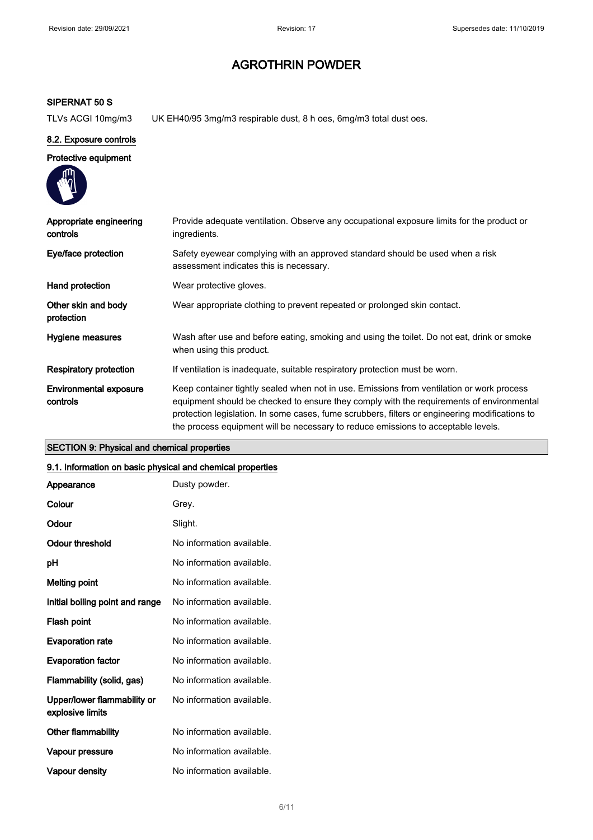### SIPERNAT 50 S

TLVs ACGI 10mg/m3 UK EH40/95 3mg/m3 respirable dust, 8 h oes, 6mg/m3 total dust oes.

#### 8.2. Exposure controls

#### Protective equipment

| Appropriate engineering<br>controls | Provide adequate ventilation. Observe any occupational exposure limits for the product or<br>ingredients.                                                                                                                                                                                                                                                                    |
|-------------------------------------|------------------------------------------------------------------------------------------------------------------------------------------------------------------------------------------------------------------------------------------------------------------------------------------------------------------------------------------------------------------------------|
| Eye/face protection                 | Safety eyewear complying with an approved standard should be used when a risk<br>assessment indicates this is necessary.                                                                                                                                                                                                                                                     |
| Hand protection                     | Wear protective gloves.                                                                                                                                                                                                                                                                                                                                                      |
| Other skin and body<br>protection   | Wear appropriate clothing to prevent repeated or prolonged skin contact.                                                                                                                                                                                                                                                                                                     |
| Hygiene measures                    | Wash after use and before eating, smoking and using the toilet. Do not eat, drink or smoke<br>when using this product.                                                                                                                                                                                                                                                       |
| <b>Respiratory protection</b>       | If ventilation is inadequate, suitable respiratory protection must be worn.                                                                                                                                                                                                                                                                                                  |
| Environmental exposure<br>controls  | Keep container tightly sealed when not in use. Emissions from ventilation or work process<br>equipment should be checked to ensure they comply with the requirements of environmental<br>protection legislation. In some cases, fume scrubbers, filters or engineering modifications to<br>the process equipment will be necessary to reduce emissions to acceptable levels. |

### SECTION 9: Physical and chemical properties

#### 9.1. Information on basic physical and chemical properties

| Appearance                                      | Dusty powder.             |
|-------------------------------------------------|---------------------------|
| Colour                                          | Grev.                     |
| Odour                                           | Slight.                   |
| Odour threshold                                 | No information available. |
| рH                                              | No information available. |
| <b>Melting point</b>                            | No information available. |
| Initial boiling point and range                 | No information available. |
| Flash point                                     | No information available. |
| <b>Evaporation rate</b>                         | No information available. |
| <b>Evaporation factor</b>                       | No information available. |
| Flammability (solid, gas)                       | No information available. |
| Upper/lower flammability or<br>explosive limits | No information available. |
| Other flammability                              | No information available. |
| Vapour pressure                                 | No information available. |
| Vapour density                                  | No information available. |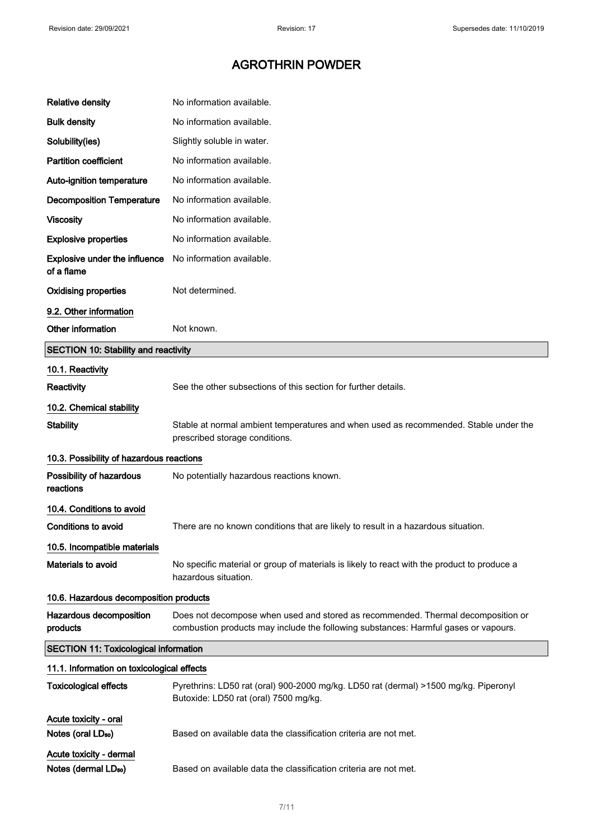| <b>Relative density</b>                                     | No information available.                                                                                                                                               |  |
|-------------------------------------------------------------|-------------------------------------------------------------------------------------------------------------------------------------------------------------------------|--|
| <b>Bulk density</b>                                         | No information available.                                                                                                                                               |  |
| Solubility(ies)                                             | Slightly soluble in water.                                                                                                                                              |  |
| <b>Partition coefficient</b>                                | No information available.                                                                                                                                               |  |
| Auto-ignition temperature                                   | No information available.                                                                                                                                               |  |
| <b>Decomposition Temperature</b>                            | No information available.                                                                                                                                               |  |
| <b>Viscosity</b>                                            | No information available.                                                                                                                                               |  |
| <b>Explosive properties</b>                                 | No information available.                                                                                                                                               |  |
| <b>Explosive under the influence</b><br>of a flame          | No information available.                                                                                                                                               |  |
| <b>Oxidising properties</b>                                 | Not determined.                                                                                                                                                         |  |
| 9.2. Other information                                      |                                                                                                                                                                         |  |
| Other information                                           | Not known.                                                                                                                                                              |  |
| <b>SECTION 10: Stability and reactivity</b>                 |                                                                                                                                                                         |  |
| 10.1. Reactivity                                            |                                                                                                                                                                         |  |
| Reactivity                                                  | See the other subsections of this section for further details.                                                                                                          |  |
| 10.2. Chemical stability                                    |                                                                                                                                                                         |  |
| <b>Stability</b>                                            | Stable at normal ambient temperatures and when used as recommended. Stable under the<br>prescribed storage conditions.                                                  |  |
| 10.3. Possibility of hazardous reactions                    |                                                                                                                                                                         |  |
| Possibility of hazardous<br>reactions                       | No potentially hazardous reactions known.                                                                                                                               |  |
| 10.4. Conditions to avoid                                   |                                                                                                                                                                         |  |
| <b>Conditions to avoid</b>                                  | There are no known conditions that are likely to result in a hazardous situation.                                                                                       |  |
| 10.5. Incompatible materials                                |                                                                                                                                                                         |  |
| Materials to avoid                                          | No specific material or group of materials is likely to react with the product to produce a<br>hazardous situation.                                                     |  |
| 10.6. Hazardous decomposition products                      |                                                                                                                                                                         |  |
| Hazardous decomposition<br>products                         | Does not decompose when used and stored as recommended. Thermal decomposition or<br>combustion products may include the following substances: Harmful gases or vapours. |  |
| <b>SECTION 11: Toxicological information</b>                |                                                                                                                                                                         |  |
| 11.1. Information on toxicological effects                  |                                                                                                                                                                         |  |
| <b>Toxicological effects</b>                                | Pyrethrins: LD50 rat (oral) 900-2000 mg/kg. LD50 rat (dermal) >1500 mg/kg. Piperonyl<br>Butoxide: LD50 rat (oral) 7500 mg/kg.                                           |  |
| Acute toxicity - oral                                       |                                                                                                                                                                         |  |
| Notes (oral LD <sub>50</sub> )                              | Based on available data the classification criteria are not met.                                                                                                        |  |
| Acute toxicity - dermal<br>Notes (dermal LD <sub>50</sub> ) | Based on available data the classification criteria are not met.                                                                                                        |  |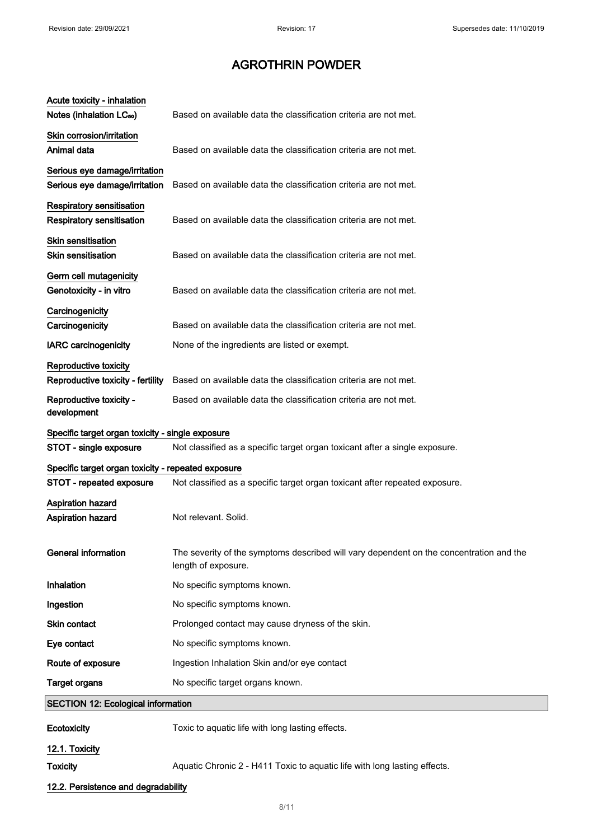$\mathbb{R}^2$ 

## AGROTHRIN POWDER

| Acute toxicity - inhalation<br>Notes (inhalation LC <sub>50</sub> )  | Based on available data the classification criteria are not met.                                               |
|----------------------------------------------------------------------|----------------------------------------------------------------------------------------------------------------|
| Skin corrosion/irritation<br>Animal data                             | Based on available data the classification criteria are not met.                                               |
| Serious eye damage/irritation                                        |                                                                                                                |
| Serious eye damage/irritation                                        | Based on available data the classification criteria are not met.                                               |
| <b>Respiratory sensitisation</b><br><b>Respiratory sensitisation</b> | Based on available data the classification criteria are not met.                                               |
| Skin sensitisation<br><b>Skin sensitisation</b>                      | Based on available data the classification criteria are not met.                                               |
| Germ cell mutagenicity<br>Genotoxicity - in vitro                    | Based on available data the classification criteria are not met.                                               |
| Carcinogenicity<br>Carcinogenicity                                   | Based on available data the classification criteria are not met.                                               |
| <b>IARC</b> carcinogenicity                                          | None of the ingredients are listed or exempt.                                                                  |
| Reproductive toxicity<br>Reproductive toxicity - fertility           | Based on available data the classification criteria are not met.                                               |
| Reproductive toxicity -<br>development                               | Based on available data the classification criteria are not met.                                               |
| Specific target organ toxicity - single exposure                     |                                                                                                                |
| STOT - single exposure                                               | Not classified as a specific target organ toxicant after a single exposure.                                    |
| Specific target organ toxicity - repeated exposure                   |                                                                                                                |
| STOT - repeated exposure                                             | Not classified as a specific target organ toxicant after repeated exposure.                                    |
| <b>Aspiration hazard</b><br>Aspiration hazard                        | Not relevant. Solid.                                                                                           |
| <b>General information</b>                                           | The severity of the symptoms described will vary dependent on the concentration and the<br>length of exposure. |
| Inhalation                                                           | No specific symptoms known.                                                                                    |
| Ingestion                                                            | No specific symptoms known.                                                                                    |
| Skin contact                                                         | Prolonged contact may cause dryness of the skin.                                                               |
| Eye contact                                                          | No specific symptoms known.                                                                                    |
| Route of exposure                                                    | Ingestion Inhalation Skin and/or eye contact                                                                   |
| <b>Target organs</b>                                                 | No specific target organs known.                                                                               |
| <b>SECTION 12: Ecological information</b>                            |                                                                                                                |
| <b>Ecotoxicity</b>                                                   | Toxic to aquatic life with long lasting effects.                                                               |
| 12.1. Toxicity                                                       |                                                                                                                |
| <b>Toxicity</b>                                                      | Aquatic Chronic 2 - H411 Toxic to aquatic life with long lasting effects.                                      |
| 12.2. Persistence and degradability                                  |                                                                                                                |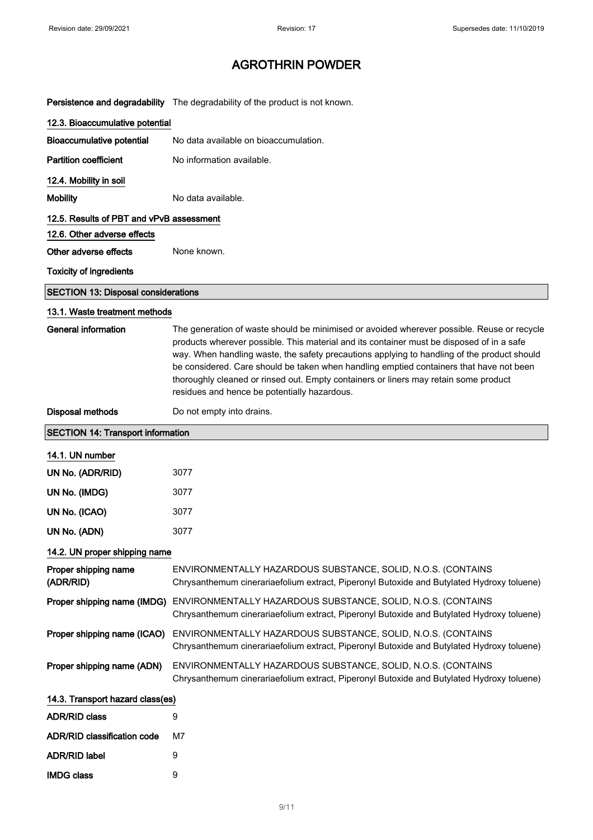Persistence and degradability The degradability of the product is not known.

| 12.3. Bioaccumulative potential            |                                                                                                                                                                                                                                                                                                                                                                                                                                                                                                                           |
|--------------------------------------------|---------------------------------------------------------------------------------------------------------------------------------------------------------------------------------------------------------------------------------------------------------------------------------------------------------------------------------------------------------------------------------------------------------------------------------------------------------------------------------------------------------------------------|
| <b>Bioaccumulative potential</b>           | No data available on bioaccumulation.                                                                                                                                                                                                                                                                                                                                                                                                                                                                                     |
| <b>Partition coefficient</b>               | No information available.                                                                                                                                                                                                                                                                                                                                                                                                                                                                                                 |
| 12.4. Mobility in soil                     |                                                                                                                                                                                                                                                                                                                                                                                                                                                                                                                           |
| <b>Mobility</b>                            | No data available.                                                                                                                                                                                                                                                                                                                                                                                                                                                                                                        |
| 12.5. Results of PBT and vPvB assessment   |                                                                                                                                                                                                                                                                                                                                                                                                                                                                                                                           |
| 12.6. Other adverse effects                |                                                                                                                                                                                                                                                                                                                                                                                                                                                                                                                           |
| Other adverse effects                      | None known.                                                                                                                                                                                                                                                                                                                                                                                                                                                                                                               |
| <b>Toxicity of ingredients</b>             |                                                                                                                                                                                                                                                                                                                                                                                                                                                                                                                           |
| <b>SECTION 13: Disposal considerations</b> |                                                                                                                                                                                                                                                                                                                                                                                                                                                                                                                           |
| 13.1. Waste treatment methods              |                                                                                                                                                                                                                                                                                                                                                                                                                                                                                                                           |
| <b>General information</b>                 | The generation of waste should be minimised or avoided wherever possible. Reuse or recycle<br>products wherever possible. This material and its container must be disposed of in a safe<br>way. When handling waste, the safety precautions applying to handling of the product should<br>be considered. Care should be taken when handling emptied containers that have not been<br>thoroughly cleaned or rinsed out. Empty containers or liners may retain some product<br>residues and hence be potentially hazardous. |
| <b>Disposal methods</b>                    | Do not empty into drains.                                                                                                                                                                                                                                                                                                                                                                                                                                                                                                 |
| <b>SECTION 14: Transport information</b>   |                                                                                                                                                                                                                                                                                                                                                                                                                                                                                                                           |
| 14.1. UN number                            |                                                                                                                                                                                                                                                                                                                                                                                                                                                                                                                           |
| UN No. (ADR/RID)                           | 3077                                                                                                                                                                                                                                                                                                                                                                                                                                                                                                                      |
| UN No. (IMDG)                              | 3077                                                                                                                                                                                                                                                                                                                                                                                                                                                                                                                      |
| UN No. (ICAO)                              | 3077                                                                                                                                                                                                                                                                                                                                                                                                                                                                                                                      |
| UN No. (ADN)                               | 3077                                                                                                                                                                                                                                                                                                                                                                                                                                                                                                                      |
| 14.2. UN proper shipping name              |                                                                                                                                                                                                                                                                                                                                                                                                                                                                                                                           |
| Proper shipping name<br>(ADR/RID)          | ENVIRONMENTALLY HAZARDOUS SUBSTANCE, SOLID, N.O.S. (CONTAINS<br>Chrysanthemum cinerariaefolium extract, Piperonyl Butoxide and Butylated Hydroxy toluene)                                                                                                                                                                                                                                                                                                                                                                 |
| Proper shipping name (IMDG)                | ENVIRONMENTALLY HAZARDOUS SUBSTANCE, SOLID, N.O.S. (CONTAINS<br>Chrysanthemum cinerariaefolium extract, Piperonyl Butoxide and Butylated Hydroxy toluene)                                                                                                                                                                                                                                                                                                                                                                 |
| Proper shipping name (ICAO)                | ENVIRONMENTALLY HAZARDOUS SUBSTANCE, SOLID, N.O.S. (CONTAINS<br>Chrysanthemum cinerariaefolium extract, Piperonyl Butoxide and Butylated Hydroxy toluene)                                                                                                                                                                                                                                                                                                                                                                 |
| Proper shipping name (ADN)                 | ENVIRONMENTALLY HAZARDOUS SUBSTANCE, SOLID, N.O.S. (CONTAINS<br>Chrysanthemum cinerariaefolium extract, Piperonyl Butoxide and Butylated Hydroxy toluene)                                                                                                                                                                                                                                                                                                                                                                 |
| 14.3. Transport hazard class(es)           |                                                                                                                                                                                                                                                                                                                                                                                                                                                                                                                           |
| <b>ADR/RID class</b>                       | 9                                                                                                                                                                                                                                                                                                                                                                                                                                                                                                                         |
| <b>ADR/RID classification code</b>         | M7                                                                                                                                                                                                                                                                                                                                                                                                                                                                                                                        |
| <b>ADR/RID label</b>                       | 9                                                                                                                                                                                                                                                                                                                                                                                                                                                                                                                         |
| <b>IMDG class</b>                          | 9                                                                                                                                                                                                                                                                                                                                                                                                                                                                                                                         |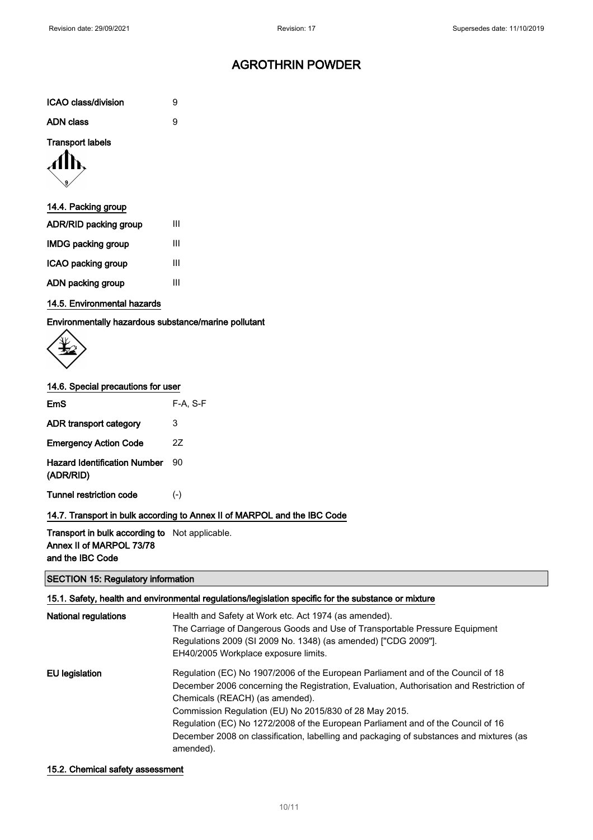| <b>ICAO class/division</b> |  |
|----------------------------|--|
|                            |  |

| <b>ADN class</b> |  |
|------------------|--|
|                  |  |

### Transport labels



### 14.4. Packing group

| <b>ADR/RID packing group</b> | Ш |
|------------------------------|---|
| <b>IMDG packing group</b>    | Ш |
| ICAO packing group           | Ш |
| ADN packing group            | ш |

### 14.5. Environmental hazards

Environmentally hazardous substance/marine pollutant



#### 14.6. Special precautions for user

| <b>EmS</b>                                       | F-A. S-F                                                                 |
|--------------------------------------------------|--------------------------------------------------------------------------|
| ADR transport category                           | 3                                                                        |
| <b>Emergency Action Code</b>                     | 2Z                                                                       |
| <b>Hazard Identification Number</b><br>(ADR/RID) | 90                                                                       |
| Tunnel restriction code                          | $(-)$                                                                    |
|                                                  | 14.7. Transport in bulk according to Annex II of MARPOL and the IBC Code |

### Transport in bulk according to Not applicable. Annex II of MARPOL 73/78

and the IBC Code

### SECTION 15: Regulatory information

|                             | 15.1. Safety, health and environmental regulations/legislation specific for the substance or mixture |
|-----------------------------|------------------------------------------------------------------------------------------------------|
| <b>National regulations</b> | Health and Safety at Work etc. Act 1974 (as amended).                                                |
|                             | The Carriage of Dangerous Goods and Use of Transportable Pressure Equipment                          |
|                             | Regulations 2009 (SI 2009 No. 1348) (as amended) ["CDG 2009"].                                       |
|                             | EH40/2005 Workplace exposure limits.                                                                 |
| EU legislation              | Regulation (EC) No 1907/2006 of the European Parliament and of the Council of 18                     |
|                             | December 2006 concerning the Registration, Evaluation, Authorisation and Restriction of              |
|                             | Chemicals (REACH) (as amended).                                                                      |
|                             | Commission Regulation (EU) No 2015/830 of 28 May 2015.                                               |
|                             | Regulation (EC) No 1272/2008 of the European Parliament and of the Council of 16                     |
|                             | December 2008 on classification, labelling and packaging of substances and mixtures (as<br>amended). |

### 15.2. Chemical safety assessment